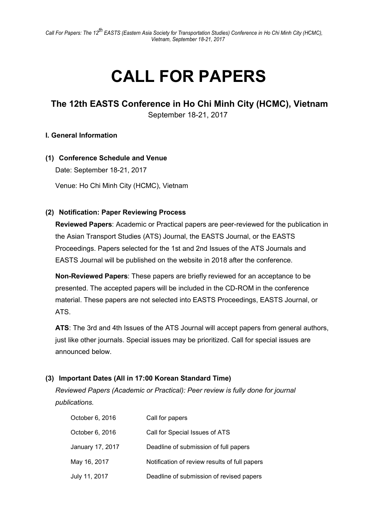# CALL FOR PAPERS

# The 12th EASTS Conference in Ho Chi Minh City (HCMC), Vietnam September 18-21, 2017

## I. General Information

## (1) Conference Schedule and Venue

Date: September 18-21, 2017

Venue: Ho Chi Minh City (HCMC), Vietnam

## (2) Notification: Paper Reviewing Process

Reviewed Papers: Academic or Practical papers are peer-reviewed for the publication in the Asian Transport Studies (ATS) Journal, the EASTS Journal, or the EASTS Proceedings. Papers selected for the 1st and 2nd Issues of the ATS Journals and EASTS Journal will be published on the website in 2018 after the conference.

Non-Reviewed Papers: These papers are briefly reviewed for an acceptance to be presented. The accepted papers will be included in the CD-ROM in the conference material. These papers are not selected into EASTS Proceedings, EASTS Journal, or ATS.

ATS: The 3rd and 4th Issues of the ATS Journal will accept papers from general authors, just like other journals. Special issues may be prioritized. Call for special issues are announced below.

## (3) Important Dates (All in 17:00 Korean Standard Time)

Reviewed Papers (Academic or Practical): Peer review is fully done for journal publications.

| October 6, 2016  | Call for papers                               |
|------------------|-----------------------------------------------|
| October 6, 2016  | Call for Special Issues of ATS                |
| January 17, 2017 | Deadline of submission of full papers         |
| May 16, 2017     | Notification of review results of full papers |
| July 11, 2017    | Deadline of submission of revised papers      |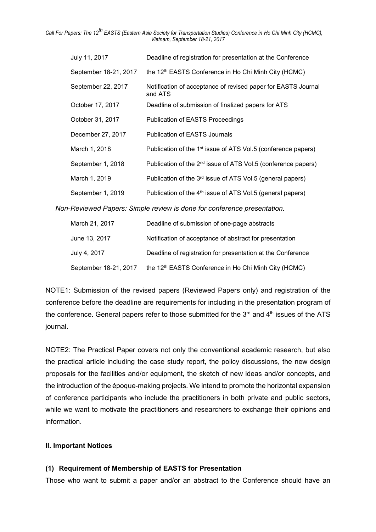Call For Papers: The 12<sup>th</sup> EASTS (Eastern Asia Society for Transportation Studies) Conference in Ho Chi Minh City (HCMC), Vietnam, September 18-21, 2017

| July 11, 2017         | Deadline of registration for presentation at the Conference               |
|-----------------------|---------------------------------------------------------------------------|
| September 18-21, 2017 | the 12 <sup>th</sup> EASTS Conference in Ho Chi Minh City (HCMC)          |
| September 22, 2017    | Notification of acceptance of revised paper for EASTS Journal<br>and ATS  |
| October 17, 2017      | Deadline of submission of finalized papers for ATS                        |
| October 31, 2017      | <b>Publication of EASTS Proceedings</b>                                   |
| December 27, 2017     | <b>Publication of EASTS Journals</b>                                      |
| March 1, 2018         | Publication of the 1 <sup>st</sup> issue of ATS Vol.5 (conference papers) |
| September 1, 2018     | Publication of the 2 <sup>nd</sup> issue of ATS Vol.5 (conference papers) |
| March 1, 2019         | Publication of the 3 <sup>rd</sup> issue of ATS Vol.5 (general papers)    |
| September 1, 2019     | Publication of the 4 <sup>th</sup> issue of ATS Vol.5 (general papers)    |

Non-Reviewed Papers: Simple review is done for conference presentation.

| March 21, 2017        | Deadline of submission of one-page abstracts                     |
|-----------------------|------------------------------------------------------------------|
| June 13, 2017         | Notification of acceptance of abstract for presentation          |
| July 4, 2017          | Deadline of registration for presentation at the Conference      |
| September 18-21, 2017 | the 12 <sup>th</sup> EASTS Conference in Ho Chi Minh City (HCMC) |

NOTE1: Submission of the revised papers (Reviewed Papers only) and registration of the conference before the deadline are requirements for including in the presentation program of the conference. General papers refer to those submitted for the  $3<sup>rd</sup>$  and  $4<sup>th</sup>$  issues of the ATS journal.

NOTE2: The Practical Paper covers not only the conventional academic research, but also the practical article including the case study report, the policy discussions, the new design proposals for the facilities and/or equipment, the sketch of new ideas and/or concepts, and the introduction of the époque-making projects. We intend to promote the horizontal expansion of conference participants who include the practitioners in both private and public sectors, while we want to motivate the practitioners and researchers to exchange their opinions and information.

#### II. Important Notices

#### (1) Requirement of Membership of EASTS for Presentation

Those who want to submit a paper and/or an abstract to the Conference should have an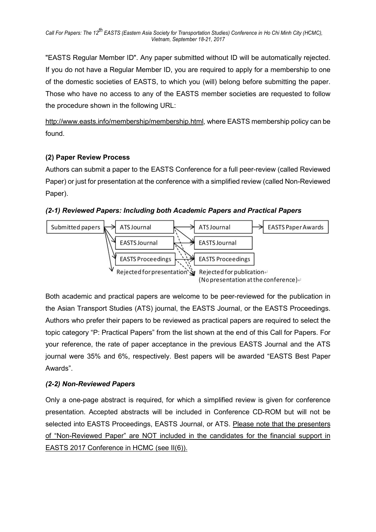"EASTS Regular Member ID". Any paper submitted without ID will be automatically rejected. If you do not have a Regular Member ID, you are required to apply for a membership to one of the domestic societies of EASTS, to which you (will) belong before submitting the paper. Those who have no access to any of the EASTS member societies are requested to follow the procedure shown in the following URL:

http://www.easts.info/membership/membership.html, where EASTS membership policy can be found.

## (2) Paper Review Process

Authors can submit a paper to the EASTS Conference for a full peer-review (called Reviewed Paper) or just for presentation at the conference with a simplified review (called Non-Reviewed Paper).

(2-1) Reviewed Papers: Including both Academic Papers and Practical Papers



Both academic and practical papers are welcome to be peer-reviewed for the publication in the Asian Transport Studies (ATS) journal, the EASTS Journal, or the EASTS Proceedings. Authors who prefer their papers to be reviewed as practical papers are required to select the topic category "P: Practical Papers" from the list shown at the end of this Call for Papers. For your reference, the rate of paper acceptance in the previous EASTS Journal and the ATS journal were 35% and 6%, respectively. Best papers will be awarded "EASTS Best Paper Awards".

## (2-2) Non-Reviewed Papers

Only a one-page abstract is required, for which a simplified review is given for conference presentation. Accepted abstracts will be included in Conference CD-ROM but will not be selected into EASTS Proceedings, EASTS Journal, or ATS. Please note that the presenters of "Non-Reviewed Paper" are NOT included in the candidates for the financial support in EASTS 2017 Conference in HCMC (see II(6)).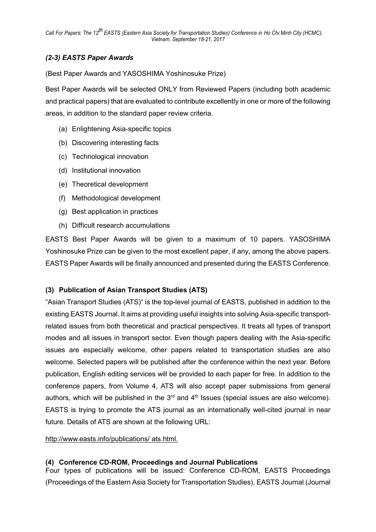## (2-3) EASTS Paper Awards

(Best Paper Awards and YASOSHIMA Yoshinosuke Prize)

Best Paper Awards will be selected ONLY from Reviewed Papers (including both academic and practical papers) that are evaluated to contribute excellently in one or more of the following areas, in addition to the standard paper review criteria.

- (a) Enlightening Asia-specific topics
- (b) Discovering interesting facts
- (c) Technological innovation
- (d) Institutional innovation
- (e) Theoretical development
- (f) Methodological development
- (g) Best application in practices
- (h) Difficult research accumulations

EASTS Best Paper Awards will be given to a maximum of 10 papers. YASOSHIMA Yoshinosuke Prize can be given to the most excellent paper, if any, among the above papers. EASTS Paper Awards will be finally announced and presented during the EASTS Conference.

## (3) Publication of Asian Transport Studies (ATS)

"Asian Transport Studies (ATS)" is the top-level journal of EASTS, published in addition to the existing EASTS Journal. It aims at providing useful insights into solving Asia-specific transportrelated issues from both theoretical and practical perspectives. It treats all types of transport modes and all issues in transport sector. Even though papers dealing with the Asia-specific issues are especially welcome, other papers related to transportation studies are also welcome. Selected papers will be published after the conference within the next year. Before publication, English editing services will be provided to each paper for free. In addition to the conference papers, from Volume 4, ATS will also accept paper submissions from general authors, which will be published in the  $3<sup>rd</sup>$  and  $4<sup>th</sup>$  Issues (special issues are also welcome). EASTS is trying to promote the ATS journal as an internationally well-cited journal in near future. Details of ATS are shown at the following URL:

http://www.easts.info/publications/ ats.html.

#### (4) Conference CD-ROM, Proceedings and Journal Publications

Four types of publications will be issued: Conference CD-ROM, EASTS Proceedings (Proceedings of the Eastern Asia Society for Transportation Studies), EASTS Journal (Journal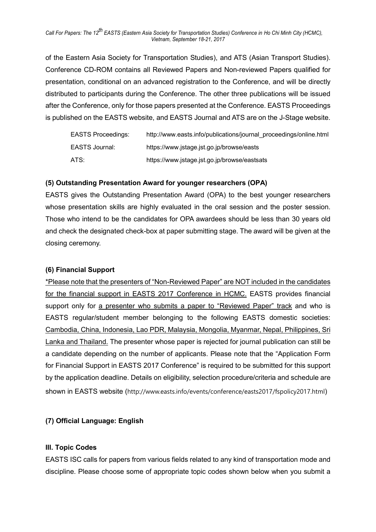Call For Papers: The 12<sup>th</sup> EASTS (Eastern Asia Society for Transportation Studies) Conference in Ho Chi Minh City (HCMC), Vietnam, September 18-21, 2017

of the Eastern Asia Society for Transportation Studies), and ATS (Asian Transport Studies). Conference CD-ROM contains all Reviewed Papers and Non-reviewed Papers qualified for presentation, conditional on an advanced registration to the Conference, and will be directly distributed to participants during the Conference. The other three publications will be issued after the Conference, only for those papers presented at the Conference. EASTS Proceedings is published on the EASTS website, and EASTS Journal and ATS are on the J-Stage website.

| <b>EASTS Proceedings:</b> | http://www.easts.info/publications/journal proceedings/online.html |
|---------------------------|--------------------------------------------------------------------|
| EASTS Journal:            | https://www.jstage.jst.go.jp/browse/easts                          |
| ATS:                      | https://www.jstage.jst.go.jp/browse/eastsats                       |

#### (5) Outstanding Presentation Award for younger researchers (OPA)

EASTS gives the Outstanding Presentation Award (OPA) to the best younger researchers whose presentation skills are highly evaluated in the oral session and the poster session. Those who intend to be the candidates for OPA awardees should be less than 30 years old and check the designated check-box at paper submitting stage. The award will be given at the closing ceremony.

#### (6) Financial Support

\*Please note that the presenters of "Non-Reviewed Paper" are NOT included in the candidates for the financial support in EASTS 2017 Conference in HCMC. EASTS provides financial support only for a presenter who submits a paper to "Reviewed Paper" track and who is EASTS regular/student member belonging to the following EASTS domestic societies: Cambodia, China, Indonesia, Lao PDR, Malaysia, Mongolia, Myanmar, Nepal, Philippines, Sri Lanka and Thailand. The presenter whose paper is rejected for journal publication can still be a candidate depending on the number of applicants. Please note that the "Application Form for Financial Support in EASTS 2017 Conference" is required to be submitted for this support by the application deadline. Details on eligibility, selection procedure/criteria and schedule are shown in EASTS website (http://www.easts.info/events/conference/easts2017/fspolicy2017.html)

#### (7) Official Language: English

#### III. Topic Codes

EASTS ISC calls for papers from various fields related to any kind of transportation mode and discipline. Please choose some of appropriate topic codes shown below when you submit a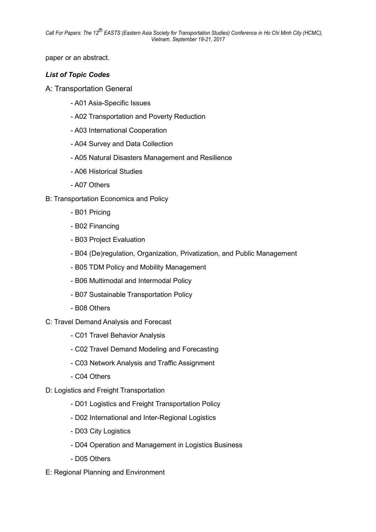Call For Papers: The 12<sup>th</sup> EASTS (Eastern Asia Society for Transportation Studies) Conference in Ho Chi Minh City (HCMC), Vietnam, September 18-21, 2017

paper or an abstract.

#### List of Topic Codes

- A: Transportation General
	- A01 Asia-Specific Issues
	- A02 Transportation and Poverty Reduction
	- A03 International Cooperation
	- A04 Survey and Data Collection
	- A05 Natural Disasters Management and Resilience
	- A06 Historical Studies
	- A07 Others
- B: Transportation Economics and Policy
	- B01 Pricing
	- B02 Financing
	- B03 Project Evaluation
	- B04 (De)regulation, Organization, Privatization, and Public Management
	- B05 TDM Policy and Mobility Management
	- B06 Multimodal and Intermodal Policy
	- B07 Sustainable Transportation Policy
	- B08 Others
- C: Travel Demand Analysis and Forecast
	- C01 Travel Behavior Analysis
	- C02 Travel Demand Modeling and Forecasting
	- C03 Network Analysis and Traffic Assignment
	- C04 Others
- D: Logistics and Freight Transportation
	- D01 Logistics and Freight Transportation Policy
	- D02 International and Inter-Regional Logistics
	- D03 City Logistics
	- D04 Operation and Management in Logistics Business
	- D05 Others
- E: Regional Planning and Environment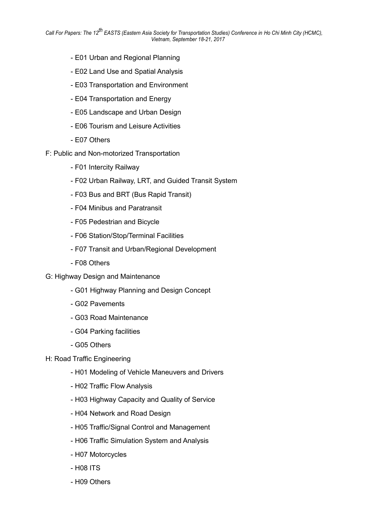- E01 Urban and Regional Planning
- E02 Land Use and Spatial Analysis
- E03 Transportation and Environment
- E04 Transportation and Energy
- E05 Landscape and Urban Design
- E06 Tourism and Leisure Activities
- E07 Others
- F: Public and Non-motorized Transportation
	- F01 Intercity Railway
	- F02 Urban Railway, LRT, and Guided Transit System
	- F03 Bus and BRT (Bus Rapid Transit)
	- F04 Minibus and Paratransit
	- F05 Pedestrian and Bicycle
	- F06 Station/Stop/Terminal Facilities
	- F07 Transit and Urban/Regional Development
	- F08 Others
- G: Highway Design and Maintenance
	- G01 Highway Planning and Design Concept
	- G02 Pavements
	- G03 Road Maintenance
	- G04 Parking facilities
	- G05 Others
- H: Road Traffic Engineering
	- H01 Modeling of Vehicle Maneuvers and Drivers
	- H02 Traffic Flow Analysis
	- H03 Highway Capacity and Quality of Service
	- H04 Network and Road Design
	- H05 Traffic/Signal Control and Management
	- H06 Traffic Simulation System and Analysis
	- H07 Motorcycles
	- H08 ITS
	- H09 Others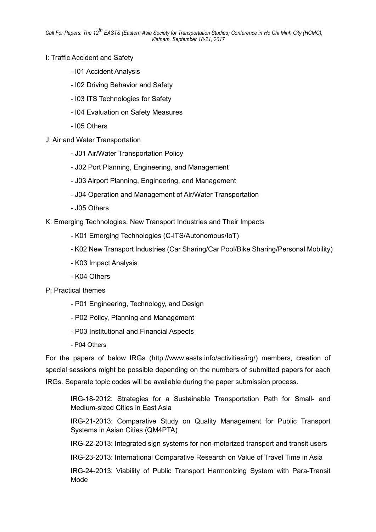- I: Traffic Accident and Safety
	- I01 Accident Analysis
	- I02 Driving Behavior and Safety
	- I03 ITS Technologies for Safety
	- I04 Evaluation on Safety Measures
	- I05 Others
- J: Air and Water Transportation
	- J01 Air/Water Transportation Policy
	- J02 Port Planning, Engineering, and Management
	- J03 Airport Planning, Engineering, and Management
	- J04 Operation and Management of Air/Water Transportation
	- J05 Others

K: Emerging Technologies, New Transport Industries and Their Impacts

- K01 Emerging Technologies (C-ITS/Autonomous/IoT)
- K02 New Transport Industries (Car Sharing/Car Pool/Bike Sharing/Personal Mobility)
- K03 Impact Analysis
- K04 Others
- P: Practical themes
	- P01 Engineering, Technology, and Design
	- P02 Policy, Planning and Management
	- P03 Institutional and Financial Aspects
	- P04 Others

For the papers of below IRGs (http://www.easts.info/activities/irg/) members, creation of special sessions might be possible depending on the numbers of submitted papers for each IRGs. Separate topic codes will be available during the paper submission process.

IRG-18-2012: Strategies for a Sustainable Transportation Path for Small- and Medium-sized Cities in East Asia

IRG-21-2013: Comparative Study on Quality Management for Public Transport Systems in Asian Cities (QM4PTA)

IRG-22-2013: Integrated sign systems for non-motorized transport and transit users

IRG-23-2013: International Comparative Research on Value of Travel Time in Asia

IRG-24-2013: Viability of Public Transport Harmonizing System with Para-Transit Mode